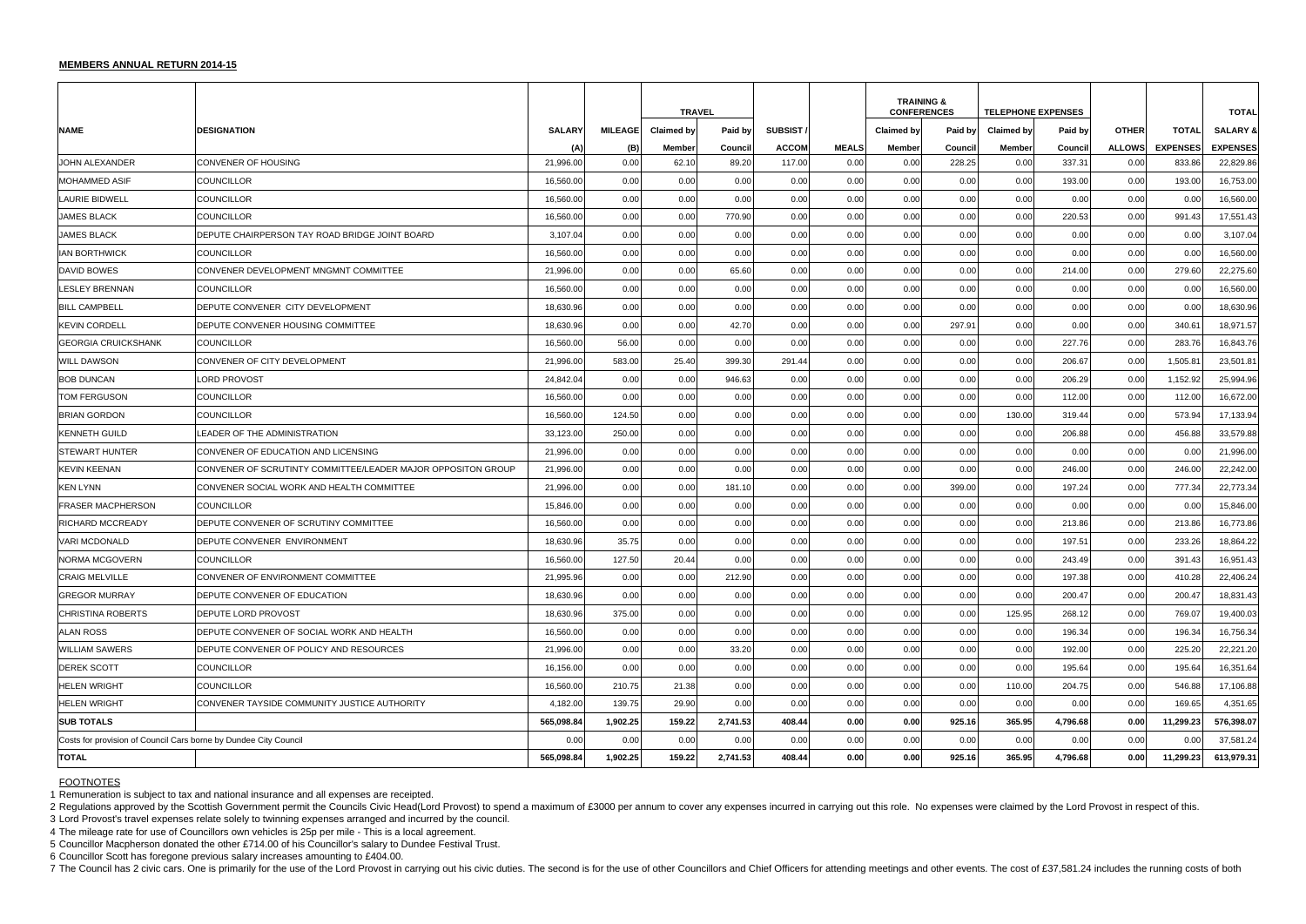## **MEMBERS ANNUAL RETURN 2014-15**

2 Regulations approved by the Scottish Government permit the Councils Civic Head(Lord Provost) to spend a maximum of £3000 per annum to cover any expenses incurred in carrying out this role. No expenses were claimed by the 3 Lord Provost's travel expenses relate solely to twinning expenses arranged and incurred by the council.

|                                                                  |                                                              |               |                | <b>TRAVEL</b>     |          |                 |              | <b>TRAINING &amp;</b><br><b>CONFERENCES</b> |         | <b>TELEPHONE EXPENSES</b> |          |               |                 | <b>TOTAL</b>        |
|------------------------------------------------------------------|--------------------------------------------------------------|---------------|----------------|-------------------|----------|-----------------|--------------|---------------------------------------------|---------|---------------------------|----------|---------------|-----------------|---------------------|
| <b>NAME</b>                                                      | <b>IDESIGNATION</b>                                          | <b>SALARY</b> | <b>MILEAGE</b> | <b>Claimed by</b> | Paid by  | <b>SUBSIST/</b> |              | Claimed by                                  | Paid by | <b>Claimed by</b>         | Paid by  | <b>OTHER</b>  | <b>TOTAL</b>    | <b>SALARY &amp;</b> |
|                                                                  |                                                              | (A)           | (B)            | Member            | Council  | <b>ACCOM</b>    | <b>MEALS</b> | Member                                      | Council | <b>Member</b>             | Counci   | <b>ALLOWS</b> | <b>EXPENSES</b> | <b>EXPENSES</b>     |
| JOHN ALEXANDER                                                   | CONVENER OF HOUSING                                          | 21,996.00     | 0.00           | 62.10             | 89.20    | 117.00          | 0.00         | 0.00                                        | 228.25  | 0.00                      | 337.31   | 0.00          | 833.86          | 22,829.86           |
| <b>IMOHAMMED ASIF</b>                                            | COUNCILLOR                                                   | 16,560.00     | 0.00           | 0.00              | 0.00     | 0.00            | 0.00         | 0.00                                        | 0.00    | 0.00                      | 193.00   | 0.00          | 193.00          | 16,753.00           |
| LAURIE BIDWELL                                                   | COUNCILLOR                                                   | 16,560.00     | 0.00           | 0.00              | 0.00     | 0.00            | 0.00         | 0.00                                        | 0.00    | 0.00                      | 0.00     | 0.00          | 0.00            | 16,560.00           |
| <b>JAMES BLACK</b>                                               | COUNCILLOR                                                   | 16,560.00     | 0.00           | 0.00              | 770.90   | 0.00            | 0.00         | 0.00                                        | 0.00    | 0.00                      | 220.53   | 0.00          | 991.43          | 17,551.43           |
| <b>JAMES BLACK</b>                                               | DEPUTE CHAIRPERSON TAY ROAD BRIDGE JOINT BOARD               | 3,107.04      | 0.00           | 0.00              | 0.00     | 0.00            | 0.00         | 0.00                                        | 0.00    | 0.00                      | 0.00     | 0.00          | 0.00            | 3,107.04            |
| <b>IAN BORTHWICK</b>                                             | COUNCILLOR                                                   | 16,560.00     | 0.00           | 0.00              | 0.00     | 0.00            | 0.00         | 0.00                                        | 0.00    | 0.00                      | 0.00     | 0.00          | 0.00            | 16,560.00           |
| DAVID BOWES                                                      | CONVENER DEVELOPMENT MNGMNT COMMITTEE                        | 21,996.00     | 0.00           | 0.00              | 65.60    | 0.00            | 0.00         | 0.00                                        | 0.00    | 0.00                      | 214.00   | 0.00          | 279.60          | 22,275.60           |
| <b>ILESLEY BRENNAN</b>                                           | COUNCILLOR                                                   | 16,560.00     | 0.00           | 0.00              | 0.00     | 0.00            | 0.00         | 0.00                                        | 0.00    | 0.00                      | 0.00     | 0.00          | 0.00            | 16,560.00           |
| <b>BILL CAMPBELL</b>                                             | DEPUTE CONVENER CITY DEVELOPMENT                             | 18,630.96     | 0.00           | 0.00              | 0.00     | 0.00            | 0.00         | 0.00                                        | 0.00    | 0.00                      | 0.00     | 0.00          | 0.00            | 18,630.96           |
| <b>KEVIN CORDELL</b>                                             | DEPUTE CONVENER HOUSING COMMITTEE                            | 18,630.96     | 0.00           | 0.00              | 42.70    | 0.00            | 0.00         | 0.00                                        | 297.91  | 0.00                      | 0.00     | 0.00          | 340.61          | 18,971.57           |
| <b>GEORGIA CRUICKSHANK</b>                                       | COUNCILLOR                                                   | 16,560.00     | 56.00          | 0.00              | 0.00     | 0.00            | 0.00         | 0.00                                        | 0.00    | 0.00                      | 227.76   | 0.00          | 283.76          | 16,843.76           |
| <b>WILL DAWSON</b>                                               | CONVENER OF CITY DEVELOPMENT                                 | 21,996.00     | 583.00         | 25.40             | 399.30   | 291.44          | 0.00         | 0.00                                        | 0.00    | 0.00                      | 206.67   | 0.00          | 1,505.8         | 23,501.81           |
| <b>BOB DUNCAN</b>                                                | LORD PROVOST                                                 | 24,842.04     | 0.00           | 0.00              | 946.63   | 0.00            | 0.00         | 0.00                                        | 0.00    | 0.00                      | 206.29   | 0.00          | 1,152.92        | 25,994.96           |
| TOM FERGUSON                                                     | COUNCILLOR                                                   | 16,560.00     | 0.00           | 0.00              | 0.00     | 0.00            | 0.00         | 0.00                                        | 0.00    | 0.00                      | 112.00   | 0.00          | 112.00          | 16,672.00           |
| <b>BRIAN GORDON</b>                                              | COUNCILLOR                                                   | 16,560.00     | 124.50         | 0.00              | 0.00     | 0.00            | 0.00         | 0.00                                        | 0.00    | 130.00                    | 319.44   | 0.00          | 573.94          | 17,133.94           |
| KENNETH GUILD                                                    | <b>LEADER OF THE ADMINISTRATION</b>                          | 33,123.00     | 250.00         | 0.00              | 0.00     | 0.00            | 0.00         | 0.00                                        | 0.00    | 0.00                      | 206.88   | 0.00          | 456.88          | 33,579.88           |
| ISTEWART HUNTER                                                  | CONVENER OF EDUCATION AND LICENSING                          | 21,996.00     | 0.00           | 0.00              | 0.00     | 0.00            | 0.00         | 0.00                                        | 0.00    | 0.00                      | 0.00     | 0.00          | 0.00            | 21,996.00           |
| KEVIN KEENAN                                                     | CONVENER OF SCRUTINTY COMMITTEE/LEADER MAJOR OPPOSITON GROUP | 21,996.00     | 0.00           | 0.00              | 0.00     | 0.00            | 0.00         | 0.00                                        | 0.00    | 0.00                      | 246.00   | 0.00          | 246.00          | 22,242.00           |
| <b>KEN LYNN</b>                                                  | CONVENER SOCIAL WORK AND HEALTH COMMITTEE                    | 21,996.00     | 0.00           | 0.00              | 181.10   | 0.00            | 0.00         | 0.00                                        | 399.00  | 0.00                      | 197.24   | 0.00          | 777.34          | 22,773.34           |
| <b>IFRASER MACPHERSON</b>                                        | <b>COUNCILLOR</b>                                            | 15,846.00     | 0.00           | 0.00              | 0.00     | 0.00            | 0.00         | 0.00                                        | 0.00    | 0.00                      | 0.00     | 0.00          | 0.00            | 15,846.00           |
| <b>IRICHARD MCCREADY</b>                                         | DEPUTE CONVENER OF SCRUTINY COMMITTEE                        | 16,560.00     | 0.00           | 0.00              | 0.00     | 0.00            | 0.00         | 0.00                                        | 0.00    | 0.00                      | 213.86   | 0.00          | 213.86          | 16,773.86           |
| VARI MCDONALD                                                    | DEPUTE CONVENER ENVIRONMENT                                  | 18,630.96     | 35.75          | 0.00              | 0.00     | 0.00            | 0.00         | 0.00                                        | 0.00    | 0.00                      | 197.51   | 0.00          | 233.26          | 18,864.22           |
| <b>NORMA MCGOVERN</b>                                            | COUNCILLOR                                                   | 16,560.00     | 127.50         | 20.44             | 0.00     | 0.00            | 0.00         | 0.00                                        | 0.00    | 0.00                      | 243.49   | 0.00          | 391.43          | 16,951.43           |
| <b>CRAIG MELVILLE</b>                                            | CONVENER OF ENVIRONMENT COMMITTEE                            | 21,995.96     | 0.00           | 0.00              | 212.90   | 0.00            | 0.00         | 0.00                                        | 0.00    | 0.00                      | 197.38   | 0.00          | 410.28          | 22,406.24           |
| <b>GREGOR MURRAY</b>                                             | DEPUTE CONVENER OF EDUCATION                                 | 18,630.96     | 0.00           | 0.00              | 0.00     | 0.00            | 0.00         | 0.00                                        | 0.00    | 0.00                      | 200.47   | 0.00          | 200.47          | 18,831.43           |
| CHRISTINA ROBERTS_                                               | DEPUTE LORD PROVOST                                          | 18,630.96     | 375.00         | 0.00              | 0.00     | 0.00            | 0.00         | 0.00                                        | 0.00    | 125.95                    | 268.12   | 0.00          | 769.07          | 19,400.03           |
| <b>ALAN ROSS</b>                                                 | DEPUTE CONVENER OF SOCIAL WORK AND HEALTH                    | 16,560.00     | 0.00           | 0.00              | 0.00     | 0.00            | 0.00         | 0.00                                        | 0.00    | 0.00                      | 196.34   | 0.00          | 196.34          | 16,756.34           |
| <b>WILLIAM SAWERS</b>                                            | DEPUTE CONVENER OF POLICY AND RESOURCES                      | 21,996.00     | 0.00           | 0.00              | 33.20    | 0.00            | 0.00         | 0.00                                        | 0.00    | 0.00                      | 192.00   | 0.00          | 225.20          | 22,221.20           |
| <b>DEREK SCOTT</b>                                               | COUNCILLOR                                                   | 16,156.00     | 0.00           | 0.00              | 0.00     | 0.00            | 0.00         | 0.00                                        | 0.00    | 0.00                      | 195.64   | 0.00          | 195.64          | 16,351.64           |
| HELEN WRIGHT                                                     | COUNCILLOR                                                   | 16,560.00     | 210.75         | 21.38             | 0.00     | 0.00            | 0.00         | 0.00                                        | 0.00    | 110.00                    | 204.75   | 0.00          | 546.88          | 17,106.88           |
| <b>HELEN WRIGHT</b>                                              | CONVENER TAYSIDE COMMUNITY JUSTICE AUTHORITY                 | 4,182.00      | 139.75         | 29.90             | 0.00     | 0.00            | 0.00         | 0.00                                        | 0.00    | 0.00                      | 0.00     | 0.00          | 169.65          | 4,351.65            |
| <b>SUB TOTALS</b>                                                |                                                              | 565,098.84    | 1,902.25       | 159.22            | 2,741.53 | 408.44          | 0.00         | 0.00                                        | 925.16  | 365.95                    | 4,796.68 | 0.00          | 11,299.23       | 576,398.07          |
| Costs for provision of Council Cars borne by Dundee City Council |                                                              | 0.00          | 0.00           | 0.00              | 0.00     | 0.00            | 0.00         | 0.00                                        | 0.00    | 0.00                      | 0.00     | 0.00          | 0.00            | 37,581.24           |
| <b>TOTAL</b>                                                     |                                                              | 565,098.84    | 1,902.25       | 159.22            | 2,741.53 | 408.44          | 0.00         | 0.00                                        | 925.16  | 365.95                    | 4,796.68 | 0.00          | 11,299.23       | 613,979.31          |

## FOOTNOTES

1 Remuneration is subject to tax and national insurance and all expenses are receipted.

4 The mileage rate for use of Councillors own vehicles is 25p per mile - This is a local agreement.

5 Councillor Macpherson donated the other £714.00 of his Councillor's salary to Dundee Festival Trust.

6 Councillor Scott has foregone previous salary increases amounting to £404.00.

7 The Council has 2 civic cars. One is primarily for the use of the Lord Provost in carrying out his civic duties. The second is for the use of other Councillors and Chief Officers for attending meetings and other events.